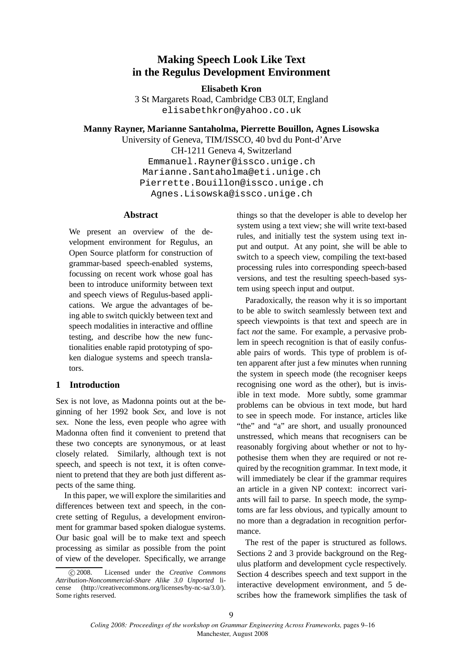# **Making Speech Look Like Text in the Regulus Development Environment**

**Elisabeth Kron**

3 St Margarets Road, Cambridge CB3 0LT, England elisabethkron@yahoo.co.uk

**Manny Rayner, Marianne Santaholma, Pierrette Bouillon, Agnes Lisowska**

University of Geneva, TIM/ISSCO, 40 bvd du Pont-d'Arve CH-1211 Geneva 4, Switzerland Emmanuel.Rayner@issco.unige.ch Marianne.Santaholma@eti.unige.ch Pierrette.Bouillon@issco.unige.ch Agnes.Lisowska@issco.unige.ch

### **Abstract**

We present an overview of the development environment for Regulus, an Open Source platform for construction of grammar-based speech-enabled systems, focussing on recent work whose goal has been to introduce uniformity between text and speech views of Regulus-based applications. We argue the advantages of being able to switch quickly between text and speech modalities in interactive and offline testing, and describe how the new functionalities enable rapid prototyping of spoken dialogue systems and speech translators.

## **1 Introduction**

Sex is not love, as Madonna points out at the beginning of her 1992 book *Sex*, and love is not sex. None the less, even people who agree with Madonna often find it convenient to pretend that these two concepts are synonymous, or at least closely related. Similarly, although text is not speech, and speech is not text, it is often convenient to pretend that they are both just different aspects of the same thing.

In this paper, we will explore the similarities and differences between text and speech, in the concrete setting of Regulus, a development environment for grammar based spoken dialogue systems. Our basic goal will be to make text and speech processing as similar as possible from the point of view of the developer. Specifically, we arrange things so that the developer is able to develop her system using a text view; she will write text-based rules, and initially test the system using text input and output. At any point, she will be able to switch to a speech view, compiling the text-based processing rules into corresponding speech-based versions, and test the resulting speech-based system using speech input and output.

Paradoxically, the reason why it is so important to be able to switch seamlessly between text and speech viewpoints is that text and speech are in fact *not* the same. For example, a pervasive problem in speech recognition is that of easily confusable pairs of words. This type of problem is often apparent after just a few minutes when running the system in speech mode (the recogniser keeps recognising one word as the other), but is invisible in text mode. More subtly, some grammar problems can be obvious in text mode, but hard to see in speech mode. For instance, articles like "the" and "a" are short, and usually pronounced unstressed, which means that recognisers can be reasonably forgiving about whether or not to hypothesise them when they are required or not required by the recognition grammar. In text mode, it will immediately be clear if the grammar requires an article in a given NP context: incorrect variants will fail to parse. In speech mode, the symptoms are far less obvious, and typically amount to no more than a degradation in recognition performance.

The rest of the paper is structured as follows. Sections 2 and 3 provide background on the Regulus platform and development cycle respectively. Section 4 describes speech and text support in the interactive development environment, and 5 describes how the framework simplifies the task of

c 2008. Licensed under the *Creative Commons Attribution-Noncommercial-Share Alike 3.0 Unported* license (http://creativecommons.org/licenses/by-nc-sa/3.0/). Some rights reserved.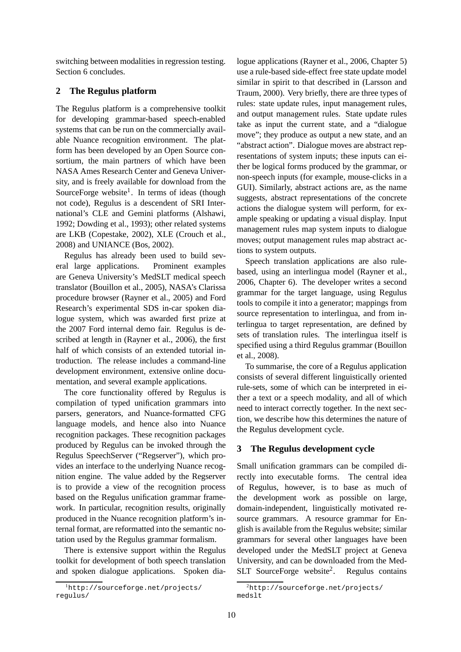switching between modalities in regression testing. Section 6 concludes.

#### **2 The Regulus platform**

The Regulus platform is a comprehensive toolkit for developing grammar-based speech-enabled systems that can be run on the commercially available Nuance recognition environment. The platform has been developed by an Open Source consortium, the main partners of which have been NASA Ames Research Center and Geneva University, and is freely available for download from the SourceForge website<sup>1</sup>. In terms of ideas (though not code), Regulus is a descendent of SRI International's CLE and Gemini platforms (Alshawi, 1992; Dowding et al., 1993); other related systems are LKB (Copestake, 2002), XLE (Crouch et al., 2008) and UNIANCE (Bos, 2002).

Regulus has already been used to build several large applications. Prominent examples are Geneva University's MedSLT medical speech translator (Bouillon et al., 2005), NASA's Clarissa procedure browser (Rayner et al., 2005) and Ford Research's experimental SDS in-car spoken dialogue system, which was awarded first prize at the 2007 Ford internal demo fair. Regulus is described at length in (Rayner et al., 2006), the first half of which consists of an extended tutorial introduction. The release includes a command-line development environment, extensive online documentation, and several example applications.

The core functionality offered by Regulus is compilation of typed unification grammars into parsers, generators, and Nuance-formatted CFG language models, and hence also into Nuance recognition packages. These recognition packages produced by Regulus can be invoked through the Regulus SpeechServer ("Regserver"), which provides an interface to the underlying Nuance recognition engine. The value added by the Regserver is to provide a view of the recognition process based on the Regulus unification grammar framework. In particular, recognition results, originally produced in the Nuance recognition platform's internal format, are reformatted into the semantic notation used by the Regulus grammar formalism.

There is extensive support within the Regulus toolkit for development of both speech translation and spoken dialogue applications. Spoken dialogue applications (Rayner et al., 2006, Chapter 5) use a rule-based side-effect free state update model similar in spirit to that described in (Larsson and Traum, 2000). Very briefly, there are three types of rules: state update rules, input management rules, and output management rules. State update rules take as input the current state, and a "dialogue move"; they produce as output a new state, and an "abstract action". Dialogue moves are abstract representations of system inputs; these inputs can either be logical forms produced by the grammar, or non-speech inputs (for example, mouse-clicks in a GUI). Similarly, abstract actions are, as the name suggests, abstract representations of the concrete actions the dialogue system will perform, for example speaking or updating a visual display. Input management rules map system inputs to dialogue moves; output management rules map abstract actions to system outputs.

Speech translation applications are also rulebased, using an interlingua model (Rayner et al., 2006, Chapter 6). The developer writes a second grammar for the target language, using Regulus tools to compile it into a generator; mappings from source representation to interlingua, and from interlingua to target representation, are defined by sets of translation rules. The interlingua itself is specified using a third Regulus grammar (Bouillon et al., 2008).

To summarise, the core of a Regulus application consists of several different linguistically oriented rule-sets, some of which can be interpreted in either a text or a speech modality, and all of which need to interact correctly together. In the next section, we describe how this determines the nature of the Regulus development cycle.

#### **3 The Regulus development cycle**

Small unification grammars can be compiled directly into executable forms. The central idea of Regulus, however, is to base as much of the development work as possible on large, domain-independent, linguistically motivated resource grammars. A resource grammar for English is available from the Regulus website; similar grammars for several other languages have been developed under the MedSLT project at Geneva University, and can be downloaded from the Med-SLT SourceForge website<sup>2</sup>. Regulus contains

<sup>1</sup>http://sourceforge.net/projects/ regulus/

<sup>2</sup>http://sourceforge.net/projects/ medslt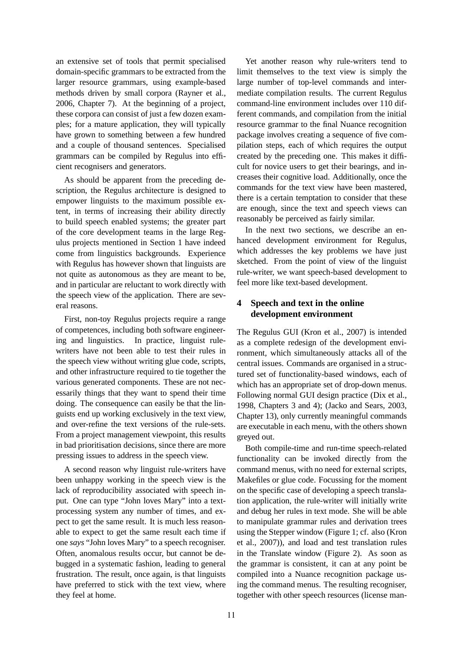an extensive set of tools that permit specialised domain-specific grammars to be extracted from the larger resource grammars, using example-based methods driven by small corpora (Rayner et al., 2006, Chapter 7). At the beginning of a project, these corpora can consist of just a few dozen examples; for a mature application, they will typically have grown to something between a few hundred and a couple of thousand sentences. Specialised grammars can be compiled by Regulus into efficient recognisers and generators.

As should be apparent from the preceding description, the Regulus architecture is designed to empower linguists to the maximum possible extent, in terms of increasing their ability directly to build speech enabled systems; the greater part of the core development teams in the large Regulus projects mentioned in Section 1 have indeed come from linguistics backgrounds. Experience with Regulus has however shown that linguists are not quite as autonomous as they are meant to be, and in particular are reluctant to work directly with the speech view of the application. There are several reasons.

First, non-toy Regulus projects require a range of competences, including both software engineering and linguistics. In practice, linguist rulewriters have not been able to test their rules in the speech view without writing glue code, scripts, and other infrastructure required to tie together the various generated components. These are not necessarily things that they want to spend their time doing. The consequence can easily be that the linguists end up working exclusively in the text view, and over-refine the text versions of the rule-sets. From a project management viewpoint, this results in bad prioritisation decisions, since there are more pressing issues to address in the speech view.

A second reason why linguist rule-writers have been unhappy working in the speech view is the lack of reproducibility associated with speech input. One can type "John loves Mary" into a textprocessing system any number of times, and expect to get the same result. It is much less reasonable to expect to get the same result each time if one *says* "John loves Mary" to a speech recogniser. Often, anomalous results occur, but cannot be debugged in a systematic fashion, leading to general frustration. The result, once again, is that linguists have preferred to stick with the text view, where they feel at home.

Yet another reason why rule-writers tend to limit themselves to the text view is simply the large number of top-level commands and intermediate compilation results. The current Regulus command-line environment includes over 110 different commands, and compilation from the initial resource grammar to the final Nuance recognition package involves creating a sequence of five compilation steps, each of which requires the output created by the preceding one. This makes it difficult for novice users to get their bearings, and increases their cognitive load. Additionally, once the commands for the text view have been mastered, there is a certain temptation to consider that these are enough, since the text and speech views can reasonably be perceived as fairly similar.

In the next two sections, we describe an enhanced development environment for Regulus, which addresses the key problems we have just sketched. From the point of view of the linguist rule-writer, we want speech-based development to feel more like text-based development.

# **4 Speech and text in the online development environment**

The Regulus GUI (Kron et al., 2007) is intended as a complete redesign of the development environment, which simultaneously attacks all of the central issues. Commands are organised in a structured set of functionality-based windows, each of which has an appropriate set of drop-down menus. Following normal GUI design practice (Dix et al., 1998, Chapters 3 and 4); (Jacko and Sears, 2003, Chapter 13), only currently meaningful commands are executable in each menu, with the others shown greyed out.

Both compile-time and run-time speech-related functionality can be invoked directly from the command menus, with no need for external scripts, Makefiles or glue code. Focussing for the moment on the specific case of developing a speech translation application, the rule-writer will initially write and debug her rules in text mode. She will be able to manipulate grammar rules and derivation trees using the Stepper window (Figure 1; cf. also (Kron et al., 2007)), and load and test translation rules in the Translate window (Figure 2). As soon as the grammar is consistent, it can at any point be compiled into a Nuance recognition package using the command menus. The resulting recogniser, together with other speech resources (license man-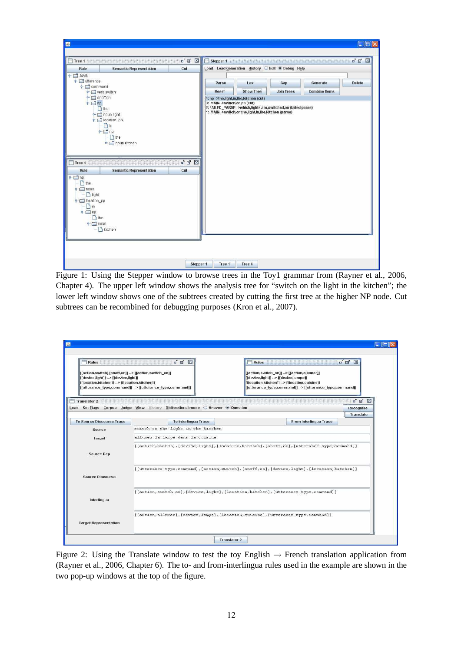| <b>Rule</b>                                                                                                                                                                                                                                                                  | <b>Semantic Representation</b>                                                                                                                                                                 | Cut           | Stepper 1                                                                                      | Load Load Generation History C Edit ® Debug Help                                                                                                         |                          |                                  |               |
|------------------------------------------------------------------------------------------------------------------------------------------------------------------------------------------------------------------------------------------------------------------------------|------------------------------------------------------------------------------------------------------------------------------------------------------------------------------------------------|---------------|------------------------------------------------------------------------------------------------|----------------------------------------------------------------------------------------------------------------------------------------------------------|--------------------------|----------------------------------|---------------|
| $P = 1$ MAIN<br>$\bullet$ $\Box$ utterance<br>$\bullet$ $\blacksquare$ command<br>$\bullet$ $\Box$ onoff on<br>$P \Box$ np<br>$\Box$ Tree 4<br><b>Rule</b><br>$P \Box$ np<br>the<br>$\Box$ noun<br>light<br>P □ location_pp<br>$\bigcap$ in<br>$P \n $<br>he the<br>$P$ moun | ← ■ verb switch<br>$h$ the<br>$\sim$ $\Box$ noun light<br>$\uparrow$ $\Box$ location_pp<br>$\n  in\n$<br>$P \Box$ np<br>$h$ the<br>c noun kitchen<br><b>Semantic Representation</b><br>kitchen | $\Box$<br>Cut | Parse<br>Reset<br>4: np -> the, light, in, the, kitchen (cut)<br>3: .MAIN-->switch,on,np (cut) | Lex<br><b>Show Tree</b><br>2: FAILED_PARSE -- > which, lights, are, switched, on (failed parse)<br>1: .MAIN-->switch,on,the,light,in,the,kitchen (parse) | Gap<br><b>Join Trees</b> | Generate<br><b>Combine Items</b> | <b>Delete</b> |

Figure 1: Using the Stepper window to browse trees in the Toy1 grammar from (Rayner et al., 2006, Chapter 4). The upper left window shows the analysis tree for "switch on the light in the kitchen"; the lower left window shows one of the subtrees created by cutting the first tree at the higher NP node. Cut subtrees can be recombined for debugging purposes (Kron et al., 2007).

| Rules<br>[[action,switch],[onoff,on]] --> [[action,switch_on]]<br>[[device,light]] --> [[device,light]]<br>[[location,kitchen]] --> [[location,kitchen]] | E E E<br>[[ufterance_type,command]] --> [[ufterance_type,command]]              | $\mathbb{Z}^k$ $\boxtimes$<br><b>Rules</b><br>[[action,switch on]] --> [[action,allumer]]<br>[[device,light]] --> [[device,lampe]]<br>[[location,kitchen]] --> [[location,cuisine]]<br>[[utterance_type,command]] --> [[utterance_type,command]] |                                                            |  |
|----------------------------------------------------------------------------------------------------------------------------------------------------------|---------------------------------------------------------------------------------|--------------------------------------------------------------------------------------------------------------------------------------------------------------------------------------------------------------------------------------------------|------------------------------------------------------------|--|
| Translator 2                                                                                                                                             | Load Set Flags Corpus Judge View History Bidirectional mode C Answer @ Question |                                                                                                                                                                                                                                                  | $\mathbb{Z}^k$ $\boxtimes$ $\boxtimes$<br><b>Recognise</b> |  |
| <b>To Source Discourse Trace</b>                                                                                                                         | To Interlingua Trace                                                            | From Interlingua Trace                                                                                                                                                                                                                           | <b>Translate</b>                                           |  |
| Source                                                                                                                                                   | switch on the light in the kitchen                                              |                                                                                                                                                                                                                                                  |                                                            |  |
| Target                                                                                                                                                   | allumez la lampe dans la cuisine                                                |                                                                                                                                                                                                                                                  |                                                            |  |
| <b>Source Rep</b>                                                                                                                                        |                                                                                 | [[[action, switch], [device, light], [location, kitchen], [onoff, on], [utterance_type, command]]                                                                                                                                                |                                                            |  |
| <b>Source Discourse</b>                                                                                                                                  |                                                                                 | [[utterance type, command], [action, switch], [onoff, on], [device, light], [location, kitchen]]                                                                                                                                                 |                                                            |  |
|                                                                                                                                                          |                                                                                 | [[action, switch_on], [device, light], [location, kitchen], [utterance_type, command]]                                                                                                                                                           |                                                            |  |
| Interlingua                                                                                                                                              |                                                                                 |                                                                                                                                                                                                                                                  |                                                            |  |

Figure 2: Using the Translate window to test the toy English  $\rightarrow$  French translation application from (Rayner et al., 2006, Chapter 6). The to- and from-interlingua rules used in the example are shown in the two pop-up windows at the top of the figure.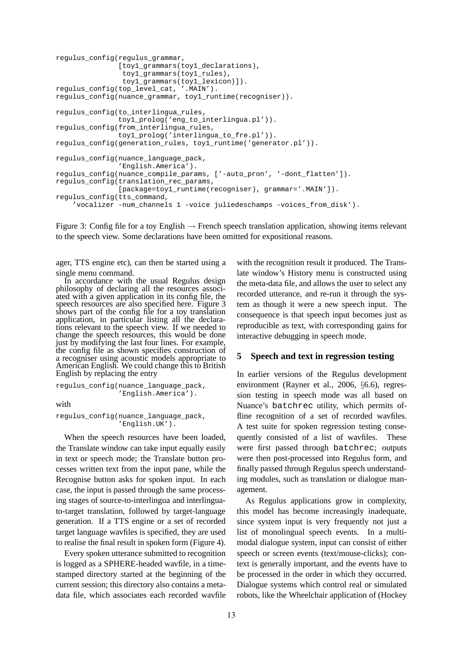```
regulus_config(regulus_grammar,
               [toy1_grammars(toy1_declarations),
                toy1_grammars(toy1_rules),
                toy1_grammars(toy1_lexicon)]).
regulus_config(top_level_cat, '.MAIN').
regulus_config(nuance_grammar, toy1_runtime(recogniser)).
regulus_config(to_interlingua_rules,
               toy1_prolog('eng_to_interlingua.pl')).
regulus_config(from_interlingua_rules,
               toy1_prolog('interlingua_to_fre.pl')).
regulus_config(generation_rules, toy1_runtime('generator.pl')).
regulus_config(nuance_language_pack,
               'English.America').
regulus_config(nuance_compile_params, ['-auto_pron', '-dont_flatten']).
regulus_config(translation_rec_params,
               [package=toy1_runtime(recogniser), grammar='.MAIN']).
regulus_config(tts_command,
    'vocalizer -num_channels 1 -voice juliedeschamps -voices_from_disk').
```
Figure 3: Config file for a toy English  $\rightarrow$  French speech translation application, showing items relevant to the speech view. Some declarations have been omitted for expositional reasons.

ager, TTS engine etc), can then be started using a single menu command.

In accordance with the usual Regulus design philosophy of declaring all the resources associated with a given application in its config file, the speech resources are also specified here. Figure 3 shows part of the config file for a toy translation application, in particular listing all the declarations relevant to the speech view. If we needed to change the speech resources, this would be done just by modifying the last four lines. For example, the config file as shown specifies construction of a recogniser using acoustic models appropriate to American English. We could change this to British English by replacing the entry

```
regulus_config(nuance_language_pack,
               'English.America').
```
with

```
regulus_config(nuance_language_pack,
                'English.UK').
```
When the speech resources have been loaded, the Translate window can take input equally easily in text or speech mode; the Translate button processes written text from the input pane, while the Recognise button asks for spoken input. In each case, the input is passed through the same processing stages of source-to-interlingua and interlinguato-target translation, followed by target-language generation. If a TTS engine or a set of recorded target language wavfiles is specified, they are used to realise the final result in spoken form (Figure 4).

Every spoken utterance submitted to recognition is logged as a SPHERE-headed wavfile, in a timestamped directory started at the beginning of the current session; this directory also contains a metadata file, which associates each recorded wavfile with the recognition result it produced. The Translate window's History menu is constructed using the meta-data file, and allows the user to select any recorded utterance, and re-run it through the system as though it were a new speech input. The consequence is that speech input becomes just as reproducible as text, with corresponding gains for interactive debugging in speech mode.

#### **5 Speech and text in regression testing**

In earlier versions of the Regulus development environment (Rayner et al., 2006, §6.6), regression testing in speech mode was all based on Nuance's batchrec utility, which permits offline recognition of a set of recorded wavfiles. A test suite for spoken regression testing consequently consisted of a list of wavfiles. These were first passed through batchrec; outputs were then post-processed into Regulus form, and finally passed through Regulus speech understanding modules, such as translation or dialogue management.

As Regulus applications grow in complexity, this model has become increasingly inadequate, since system input is very frequently not just a list of monolingual speech events. In a multimodal dialogue system, input can consist of either speech or screen events (text/mouse-clicks); context is generally important, and the events have to be processed in the order in which they occurred. Dialogue systems which control real or simulated robots, like the Wheelchair application of (Hockey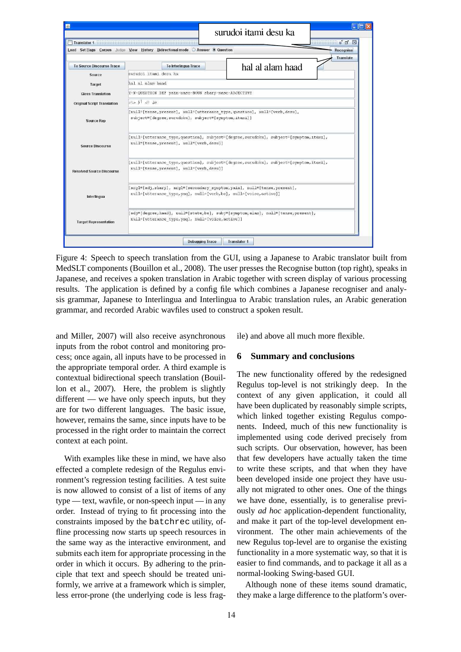| Load Set Flags Corpus Judge View History Bidirectional mode C Answer @ Question<br>Recognise |                                                                                                                                               |                  |                  |  |  |  |  |  |
|----------------------------------------------------------------------------------------------|-----------------------------------------------------------------------------------------------------------------------------------------------|------------------|------------------|--|--|--|--|--|
| <b>To Source Discourse Trace</b>                                                             | To Interlingua Trace                                                                                                                          | hal al alam haad | <b>Translate</b> |  |  |  |  |  |
| Source                                                                                       | surudoi itami desu ka                                                                                                                         |                  |                  |  |  |  |  |  |
| Target                                                                                       | hal al alam haad                                                                                                                              |                  |                  |  |  |  |  |  |
| <b>Gloss Translation</b>                                                                     | Y-N-QUESTION DEF pain-masc-NOUN sharp-masc-ADJECTIVE                                                                                          |                  |                  |  |  |  |  |  |
| <b>Original Script Translation</b>                                                           | هل ال ألم حاد                                                                                                                                 |                  |                  |  |  |  |  |  |
| <b>Source Rep</b>                                                                            | [null=[tense, present], null=[utterance type, question], null=[verb, desu],<br>subject=[degree, surudoku], subject=[symptom, itami]]          |                  |                  |  |  |  |  |  |
| <b>Source Discourse</b>                                                                      | [null=[utterance_type,question], subject=[deqree,surudoku], subject=[symptom,itami],<br>null=[tense, present], null=[verb, desu]]             |                  |                  |  |  |  |  |  |
| <b>Resolved Source Discourse</b>                                                             | [null=[utterance type, question], subject=[deqree, surudoku], subject=[symptom, itami],<br>null=[tense, present], null=[verb, desu]]          |                  |                  |  |  |  |  |  |
| Interlingua                                                                                  | [arq1=[ad], sharp], arq1=[secondary symptom, pain], null=[tense, present],<br>null=[utterance type,ynq], null=[verb,be], null=[voice,active]] |                  |                  |  |  |  |  |  |
| <b>Target Representation</b>                                                                 | [adj=[deqree,haad], null=[state,be], subj=[symptom,alam], null=[tense,present],<br>null=[utterance_type,ynq], null=[voice,active]]            |                  |                  |  |  |  |  |  |

Figure 4: Speech to speech translation from the GUI, using a Japanese to Arabic translator built from MedSLT components (Bouillon et al., 2008). The user presses the Recognise button (top right), speaks in Japanese, and receives a spoken translation in Arabic together with screen display of various processing results. The application is defined by a config file which combines a Japanese recogniser and analysis grammar, Japanese to Interlingua and Interlingua to Arabic translation rules, an Arabic generation grammar, and recorded Arabic wavfiles used to construct a spoken result.

and Miller, 2007) will also receive asynchronous inputs from the robot control and monitoring process; once again, all inputs have to be processed in the appropriate temporal order. A third example is contextual bidirectional speech translation (Bouillon et al., 2007). Here, the problem is slightly different — we have only speech inputs, but they are for two different languages. The basic issue, however, remains the same, since inputs have to be processed in the right order to maintain the correct context at each point.

With examples like these in mind, we have also effected a complete redesign of the Regulus environment's regression testing facilities. A test suite is now allowed to consist of a list of items of any type — text, wavfile, or non-speech input — in any order. Instead of trying to fit processing into the constraints imposed by the batchrec utility, offline processing now starts up speech resources in the same way as the interactive environment, and submits each item for appropriate processing in the order in which it occurs. By adhering to the principle that text and speech should be treated uniformly, we arrive at a framework which is simpler, less error-prone (the underlying code is less fragile) and above all much more flexible.

#### **6 Summary and conclusions**

The new functionality offered by the redesigned Regulus top-level is not strikingly deep. In the context of any given application, it could all have been duplicated by reasonably simple scripts, which linked together existing Regulus components. Indeed, much of this new functionality is implemented using code derived precisely from such scripts. Our observation, however, has been that few developers have actually taken the time to write these scripts, and that when they have been developed inside one project they have usually not migrated to other ones. One of the things we have done, essentially, is to generalise previously *ad hoc* application-dependent functionality, and make it part of the top-level development environment. The other main achievements of the new Regulus top-level are to organise the existing functionality in a more systematic way, so that it is easier to find commands, and to package it all as a normal-looking Swing-based GUI.

Although none of these items sound dramatic, they make a large difference to the platform's over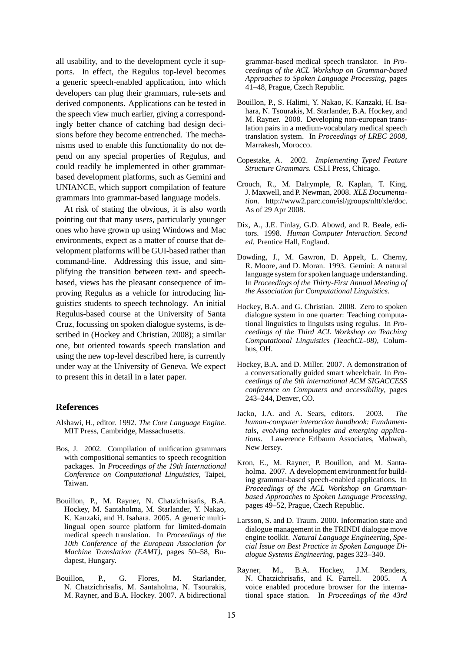all usability, and to the development cycle it supports. In effect, the Regulus top-level becomes a generic speech-enabled application, into which developers can plug their grammars, rule-sets and derived components. Applications can be tested in the speech view much earlier, giving a correspondingly better chance of catching bad design decisions before they become entrenched. The mechanisms used to enable this functionality do not depend on any special properties of Regulus, and could readily be implemented in other grammarbased development platforms, such as Gemini and UNIANCE, which support compilation of feature grammars into grammar-based language models.

At risk of stating the obvious, it is also worth pointing out that many users, particularly younger ones who have grown up using Windows and Mac environments, expect as a matter of course that development platforms will be GUI-based rather than command-line. Addressing this issue, and simplifying the transition between text- and speechbased, views has the pleasant consequence of improving Regulus as a vehicle for introducing linguistics students to speech technology. An initial Regulus-based course at the University of Santa Cruz, focussing on spoken dialogue systems, is described in (Hockey and Christian, 2008); a similar one, but oriented towards speech translation and using the new top-level described here, is currently under way at the University of Geneva. We expect to present this in detail in a later paper.

#### **References**

- Alshawi, H., editor. 1992. *The Core Language Engine*. MIT Press, Cambridge, Massachusetts.
- Bos, J. 2002. Compilation of unification grammars with compositional semantics to speech recognition packages. In *Proceedings of the 19th International Conference on Computational Linguistics*, Taipei, Taiwan.
- Bouillon, P., M. Rayner, N. Chatzichrisafis, B.A. Hockey, M. Santaholma, M. Starlander, Y. Nakao, K. Kanzaki, and H. Isahara. 2005. A generic multilingual open source platform for limited-domain medical speech translation. In *Proceedings of the 10th Conference of the European Association for Machine Translation (EAMT)*, pages 50–58, Budapest, Hungary.
- Bouillon, P., G. Flores, M. Starlander, N. Chatzichrisafis, M. Santaholma, N. Tsourakis, M. Rayner, and B.A. Hockey. 2007. A bidirectional

grammar-based medical speech translator. In *Proceedings of the ACL Workshop on Grammar-based Approaches to Spoken Language Processing*, pages 41–48, Prague, Czech Republic.

- Bouillon, P., S. Halimi, Y. Nakao, K. Kanzaki, H. Isahara, N. Tsourakis, M. Starlander, B.A. Hockey, and M. Rayner. 2008. Developing non-european translation pairs in a medium-vocabulary medical speech translation system. In *Proceedings of LREC 2008*, Marrakesh, Morocco.
- Copestake, A. 2002. *Implementing Typed Feature Structure Grammars*. CSLI Press, Chicago.
- Crouch, R., M. Dalrymple, R. Kaplan, T. King, J. Maxwell, and P. Newman, 2008. *XLE Documentation*. http://www2.parc.com/isl/groups/nltt/xle/doc. As of 29 Apr 2008.
- Dix, A., J.E. Finlay, G.D. Abowd, and R. Beale, editors. 1998. *Human Computer Interaction. Second ed.* Prentice Hall, England.
- Dowding, J., M. Gawron, D. Appelt, L. Cherny, R. Moore, and D. Moran. 1993. Gemini: A natural language system for spoken language understanding. In *Proceedings of the Thirty-First Annual Meeting of the Association for Computational Linguistics*.
- Hockey, B.A. and G. Christian. 2008. Zero to spoken dialogue system in one quarter: Teaching computational linguistics to linguists using regulus. In *Proceedings of the Third ACL Workshop on Teaching Computational Linguistics (TeachCL-08)*, Columbus, OH.
- Hockey, B.A. and D. Miller. 2007. A demonstration of a conversationally guided smart wheelchair. In *Proceedings of the 9th international ACM SIGACCESS conference on Computers and accessibility*, pages 243–244, Denver, CO.
- Jacko, J.A. and A. Sears, editors. 2003. *The human-computer interaction handbook: Fundamentals, evolving technologies and emerging applications*. Lawerence Erlbaum Associates, Mahwah, New Jersey.
- Kron, E., M. Rayner, P. Bouillon, and M. Santaholma. 2007. A development environment for building grammar-based speech-enabled applications. In *Proceedings of the ACL Workshop on Grammarbased Approaches to Spoken Language Processing*, pages 49–52, Prague, Czech Republic.
- Larsson, S. and D. Traum. 2000. Information state and dialogue management in the TRINDI dialogue move engine toolkit. *Natural Language Engineering, Special Issue on Best Practice in Spoken Language Dialogue Systems Engineering*, pages 323–340.
- Rayner, M., B.A. Hockey, J.M. Renders, N. Chatzichrisafis, and K. Farrell. 2005. A voice enabled procedure browser for the international space station. In *Proceedings of the 43rd*